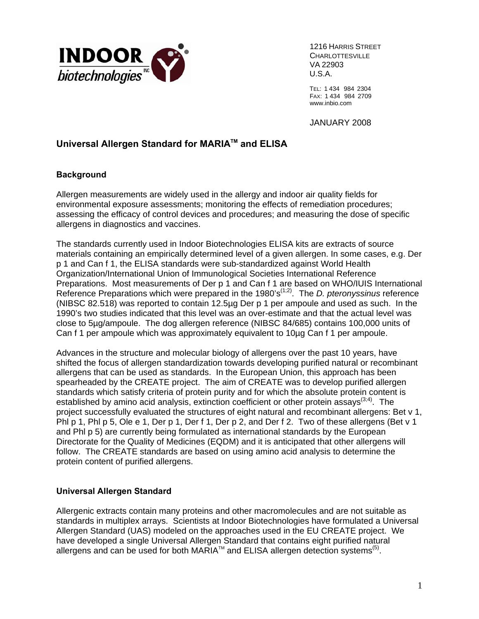

1216 HARRIS STREET VA 22903 U.S.A.

TEL: 1 434 984 2304 FAX: 1 434 984 2709 www.inbio.com

JANUARY 2008

## **Universal Allergen Standard for MARIA™ and ELISA**

#### **Background**

Allergen measurements are widely used in the allergy and indoor air quality fields for environmental exposure assessments; monitoring the effects of remediation procedures; assessing the efficacy of control devices and procedures; and measuring the dose of specific allergens in diagnostics and vaccines.

The standards currently used in Indoor Biotechnologies ELISA kits are extracts of source materials containing an empirically determined level of a given allergen. In some cases, e.g. Der p 1 and Can f 1, the ELISA standards were sub-standardized against World Health Organization/International Union of Immunological Societies International Reference Preparations. Most measurements of Der p 1 and Can f 1 are based on WHO/IUIS International Reference Preparations which were prepared in the 1980's<sup>(1,2)</sup>. The *D. pteronyssinus* reference (NIBSC 82.518) was reported to contain 12.5µg Der p 1 per ampoule and used as such. In the 1990's two studies indicated that this level was an over-estimate and that the actual level was close to 5µg/ampoule. The dog allergen reference (NIBSC 84/685) contains 100,000 units of Can f 1 per ampoule which was approximately equivalent to 10µg Can f 1 per ampoule.

Advances in the structure and molecular biology of allergens over the past 10 years, have shifted the focus of allergen standardization towards developing purified natural or recombinant allergens that can be used as standards. In the European Union, this approach has been spearheaded by the CREATE project. The aim of CREATE was to develop purified allergen standards which satisfy criteria of protein purity and for which the absolute protein content is established by amino acid analysis, extinction coefficient or other protein assays<sup>(3,4)</sup>. The project successfully evaluated the structures of eight natural and recombinant allergens: Bet v 1, Phl p 1, Phl p 5, Ole e 1, Der p 1, Der f 1, Der p 2, and Der f 2. Two of these allergens (Bet v 1 and Phl p 5) are currently being formulated as international standards by the European Directorate for the Quality of Medicines (EQDM) and it is anticipated that other allergens will follow. The CREATE standards are based on using amino acid analysis to determine the protein content of purified allergens.

### **Universal Allergen Standard**

Allergenic extracts contain many proteins and other macromolecules and are not suitable as standards in multiplex arrays. Scientists at Indoor Biotechnologies have formulated a Universal Allergen Standard (UAS) modeled on the approaches used in the EU CREATE project. We have developed a single Universal Allergen Standard that contains eight purified natural allergens and can be used for both MARIA<sup>TM</sup> and ELISA allergen detection systems<sup>(5)</sup>.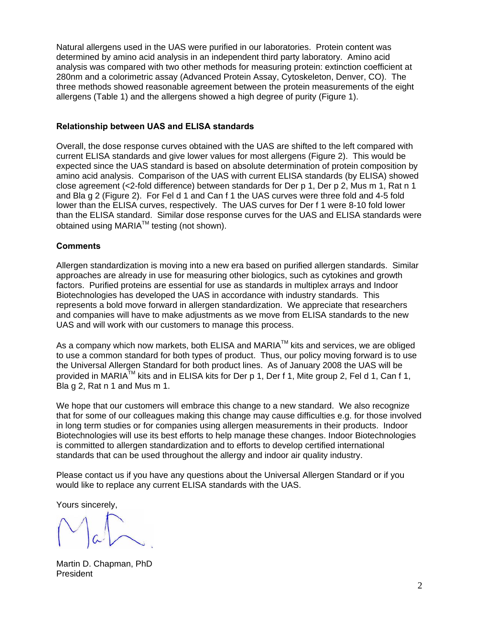Natural allergens used in the UAS were purified in our laboratories. Protein content was determined by amino acid analysis in an independent third party laboratory. Amino acid analysis was compared with two other methods for measuring protein: extinction coefficient at 280nm and a colorimetric assay (Advanced Protein Assay, Cytoskeleton, Denver, CO). The three methods showed reasonable agreement between the protein measurements of the eight allergens (Table 1) and the allergens showed a high degree of purity (Figure 1).

#### **Relationship between UAS and ELISA standards**

Overall, the dose response curves obtained with the UAS are shifted to the left compared with current ELISA standards and give lower values for most allergens (Figure 2). This would be expected since the UAS standard is based on absolute determination of protein composition by amino acid analysis. Comparison of the UAS with current ELISA standards (by ELISA) showed close agreement (<2-fold difference) between standards for Der p 1, Der p 2, Mus m 1, Rat n 1 and Bla g 2 (Figure 2). For Fel d 1 and Can f 1 the UAS curves were three fold and 4-5 fold lower than the ELISA curves, respectively. The UAS curves for Der f 1 were 8-10 fold lower than the ELISA standard. Similar dose response curves for the UAS and ELISA standards were obtained using MARIA™ testing (not shown).

#### **Comments**

Allergen standardization is moving into a new era based on purified allergen standards. Similar approaches are already in use for measuring other biologics, such as cytokines and growth factors. Purified proteins are essential for use as standards in multiplex arrays and Indoor Biotechnologies has developed the UAS in accordance with industry standards. This represents a bold move forward in allergen standardization. We appreciate that researchers and companies will have to make adjustments as we move from ELISA standards to the new UAS and will work with our customers to manage this process.

As a company which now markets, both ELISA and MARIA™ kits and services. we are obliged to use a common standard for both types of product. Thus, our policy moving forward is to use the Universal Allergen Standard for both product lines. As of January 2008 the UAS will be provided in MARIA™ kits and in ELISA kits for Der p 1, Der f 1, Mite group 2, Fel d 1, Can f 1, Bla g 2, Rat n 1 and Mus m 1.

We hope that our customers will embrace this change to a new standard. We also recognize that for some of our colleagues making this change may cause difficulties e.g. for those involved in long term studies or for companies using allergen measurements in their products. Indoor Biotechnologies will use its best efforts to help manage these changes. Indoor Biotechnologies is committed to allergen standardization and to efforts to develop certified international standards that can be used throughout the allergy and indoor air quality industry.

Please contact us if you have any questions about the Universal Allergen Standard or if you would like to replace any current ELISA standards with the UAS.

Yours sincerely,

Martin D. Chapman, PhD President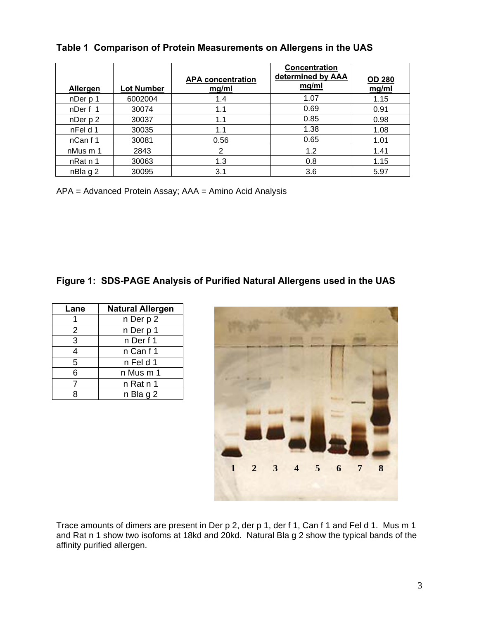| Allergen | <b>Lot Number</b> | <b>APA concentration</b><br>mg/ml | Concentration<br>determined by AAA<br>mg/ml | <b>OD 280</b><br>mg/ml |
|----------|-------------------|-----------------------------------|---------------------------------------------|------------------------|
| nDer p 1 | 6002004           | 1.4                               | 1.07                                        | 1.15                   |
| nDerf 1  | 30074             | 1.1                               | 0.69                                        | 0.91                   |
| nDer p 2 | 30037             | 1.1                               | 0.85                                        | 0.98                   |
| nFel d 1 | 30035             | 1.1                               | 1.38                                        | 1.08                   |
| nCan f 1 | 30081             | 0.56                              | 0.65                                        | 1.01                   |
| nMus m 1 | 2843              | 2                                 | 1.2                                         | 1.41                   |
| nRat n 1 | 30063             | 1.3                               | 0.8                                         | 1.15                   |
| nBla g 2 | 30095             | 3.1                               | 3.6                                         | 5.97                   |

## **Table 1 Comparison of Protein Measurements on Allergens in the UAS**

APA = Advanced Protein Assay; AAA = Amino Acid Analysis

# **Figure 1: SDS-PAGE Analysis of Purified Natural Allergens used in the UAS**

| Lane           | <b>Natural Allergen</b> |  |
|----------------|-------------------------|--|
|                | n Der p 2               |  |
| 2              | n Der p 1               |  |
| $\overline{3}$ | n Der f 1               |  |
| 4              | n Canf1                 |  |
| 5              | n Fel d 1               |  |
| 6              | n Mus m 1               |  |
|                | n Rat n 1               |  |
|                | n Bla g 2               |  |



Trace amounts of dimers are present in Der p 2, der p 1, der f 1, Can f 1 and Fel d 1. Mus m 1 and Rat n 1 show two isofoms at 18kd and 20kd. Natural Bla g 2 show the typical bands of the affinity purified allergen.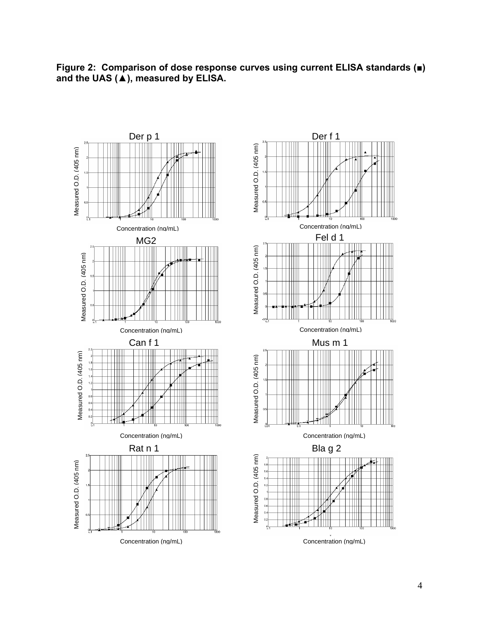